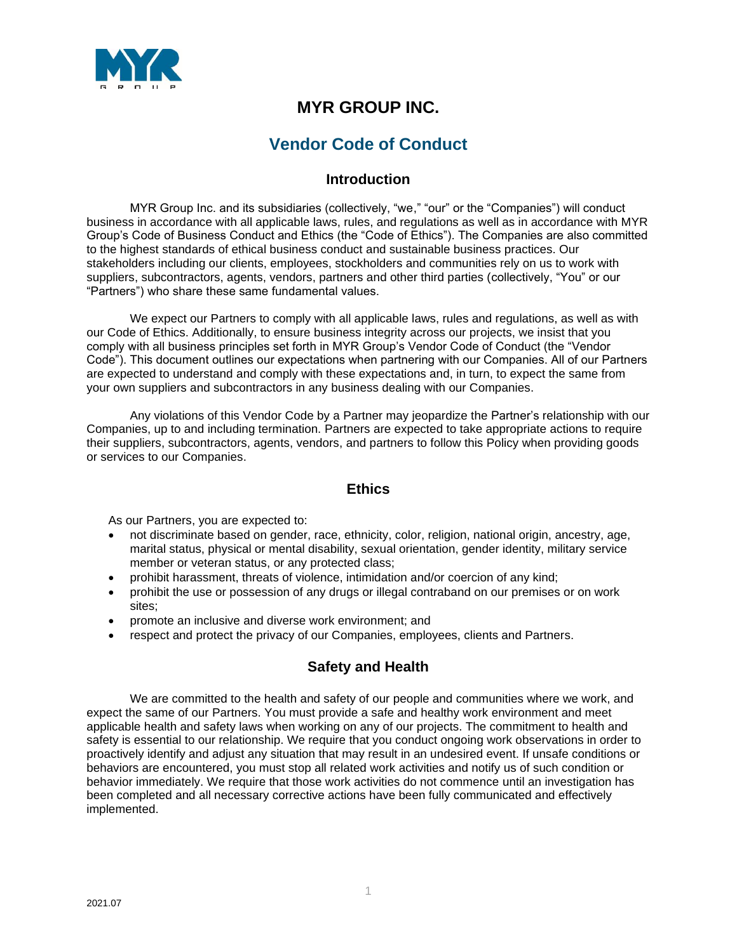

# **MYR GROUP INC.**

# **Vendor Code of Conduct**

# **Introduction**

MYR Group Inc. and its subsidiaries (collectively, "we," "our" or the "Companies") will conduct business in accordance with all applicable laws, rules, and regulations as well as in accordance with MYR Group's Code of Business Conduct and Ethics (the "Code of Ethics"). The Companies are also committed to the highest standards of ethical business conduct and sustainable business practices. Our stakeholders including our clients, employees, stockholders and communities rely on us to work with suppliers, subcontractors, agents, vendors, partners and other third parties (collectively, "You" or our "Partners") who share these same fundamental values.

We expect our Partners to comply with all applicable laws, rules and regulations, as well as with our Code of Ethics. Additionally, to ensure business integrity across our projects, we insist that you comply with all business principles set forth in MYR Group's Vendor Code of Conduct (the "Vendor Code"). This document outlines our expectations when partnering with our Companies. All of our Partners are expected to understand and comply with these expectations and, in turn, to expect the same from your own suppliers and subcontractors in any business dealing with our Companies.

Any violations of this Vendor Code by a Partner may jeopardize the Partner's relationship with our Companies, up to and including termination. Partners are expected to take appropriate actions to require their suppliers, subcontractors, agents, vendors, and partners to follow this Policy when providing goods or services to our Companies.

#### **Ethics**

As our Partners, you are expected to:

- not discriminate based on gender, race, ethnicity, color, religion, national origin, ancestry, age, marital status, physical or mental disability, sexual orientation, gender identity, military service member or veteran status, or any protected class;
- prohibit harassment, threats of violence, intimidation and/or coercion of any kind;
- prohibit the use or possession of any drugs or illegal contraband on our premises or on work sites;
- promote an inclusive and diverse work environment; and
- respect and protect the privacy of our Companies, employees, clients and Partners.

# **Safety and Health**

We are committed to the health and safety of our people and communities where we work, and expect the same of our Partners. You must provide a safe and healthy work environment and meet applicable health and safety laws when working on any of our projects. The commitment to health and safety is essential to our relationship. We require that you conduct ongoing work observations in order to proactively identify and adjust any situation that may result in an undesired event. If unsafe conditions or behaviors are encountered, you must stop all related work activities and notify us of such condition or behavior immediately. We require that those work activities do not commence until an investigation has been completed and all necessary corrective actions have been fully communicated and effectively implemented.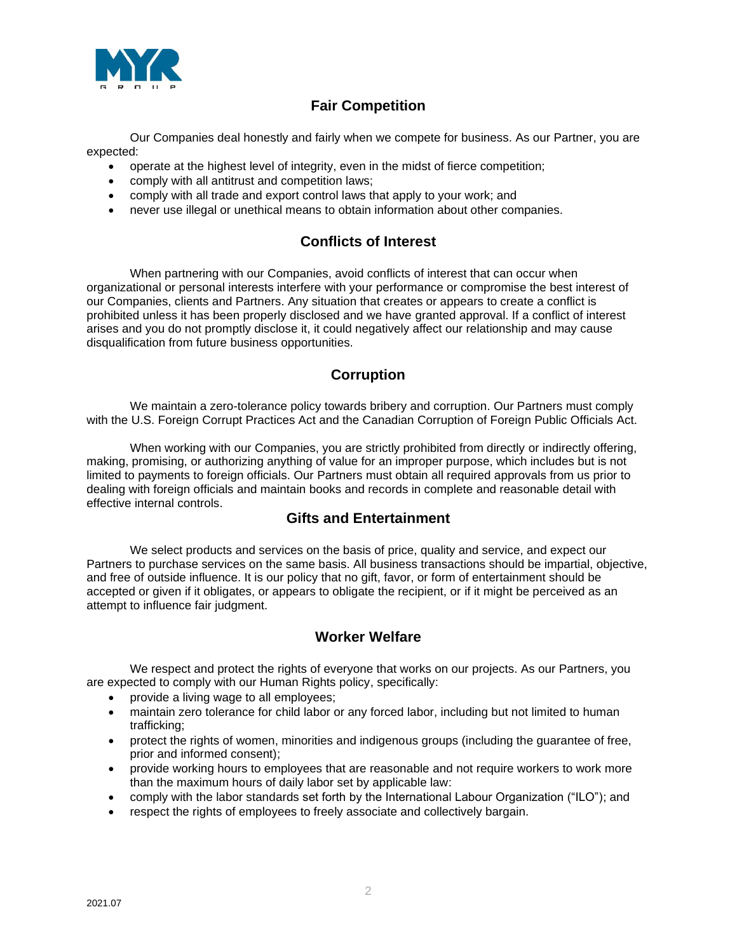

# **Fair Competition**

Our Companies deal honestly and fairly when we compete for business. As our Partner, you are expected:

- operate at the highest level of integrity, even in the midst of fierce competition;
- comply with all antitrust and competition laws;
- comply with all trade and export control laws that apply to your work; and
- never use illegal or unethical means to obtain information about other companies.

# **Conflicts of Interest**

When partnering with our Companies, avoid conflicts of interest that can occur when organizational or personal interests interfere with your performance or compromise the best interest of our Companies, clients and Partners. Any situation that creates or appears to create a conflict is prohibited unless it has been properly disclosed and we have granted approval. If a conflict of interest arises and you do not promptly disclose it, it could negatively affect our relationship and may cause disqualification from future business opportunities.

### **Corruption**

We maintain a zero-tolerance policy towards bribery and corruption. Our Partners must comply with the U.S. Foreign Corrupt Practices Act and the Canadian Corruption of Foreign Public Officials Act.

When working with our Companies, you are strictly prohibited from directly or indirectly offering, making, promising, or authorizing anything of value for an improper purpose, which includes but is not limited to payments to foreign officials. Our Partners must obtain all required approvals from us prior to dealing with foreign officials and maintain books and records in complete and reasonable detail with effective internal controls.

#### **Gifts and Entertainment**

We select products and services on the basis of price, quality and service, and expect our Partners to purchase services on the same basis. All business transactions should be impartial, objective, and free of outside influence. It is our policy that no gift, favor, or form of entertainment should be accepted or given if it obligates, or appears to obligate the recipient, or if it might be perceived as an attempt to influence fair judgment.

# **Worker Welfare**

We respect and protect the rights of everyone that works on our projects. As our Partners, you are expected to comply with our Human Rights policy, specifically:

- provide a living wage to all employees;
- maintain zero tolerance for child labor or any forced labor, including but not limited to human trafficking;
- protect the rights of women, minorities and indigenous groups (including the guarantee of free, prior and informed consent);
- provide working hours to employees that are reasonable and not require workers to work more than the maximum hours of daily labor set by applicable law:
- comply with the labor standards set forth by the International Labour Organization ("ILO"); and
- respect the rights of employees to freely associate and collectively bargain.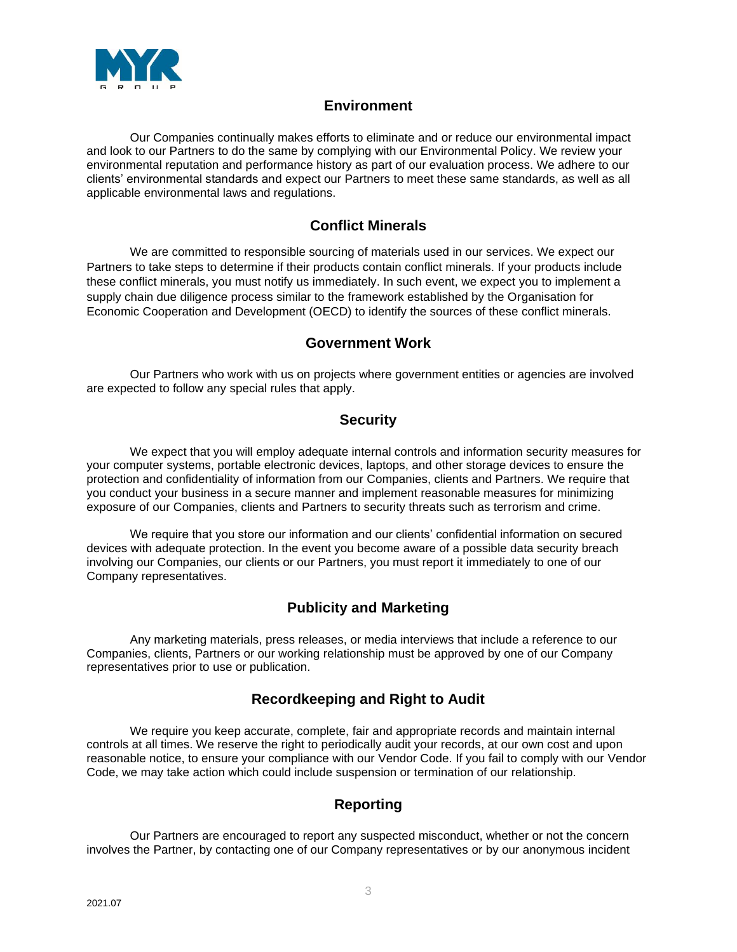

### **Environment**

Our Companies continually makes efforts to eliminate and or reduce our environmental impact and look to our Partners to do the same by complying with our Environmental Policy. We review your environmental reputation and performance history as part of our evaluation process. We adhere to our clients' environmental standards and expect our Partners to meet these same standards, as well as all applicable environmental laws and regulations.

# **Conflict Minerals**

We are committed to responsible sourcing of materials used in our services. We expect our Partners to take steps to determine if their products contain conflict minerals. If your products include these conflict minerals, you must notify us immediately. In such event, we expect you to implement a supply chain due diligence process similar to the framework established by the Organisation for Economic Cooperation and Development (OECD) to identify the sources of these conflict minerals.

### **Government Work**

Our Partners who work with us on projects where government entities or agencies are involved are expected to follow any special rules that apply.

# **Security**

We expect that you will employ adequate internal controls and information security measures for your computer systems, portable electronic devices, laptops, and other storage devices to ensure the protection and confidentiality of information from our Companies, clients and Partners. We require that you conduct your business in a secure manner and implement reasonable measures for minimizing exposure of our Companies, clients and Partners to security threats such as terrorism and crime.

We require that you store our information and our clients' confidential information on secured devices with adequate protection. In the event you become aware of a possible data security breach involving our Companies, our clients or our Partners, you must report it immediately to one of our Company representatives.

# **Publicity and Marketing**

Any marketing materials, press releases, or media interviews that include a reference to our Companies, clients, Partners or our working relationship must be approved by one of our Company representatives prior to use or publication.

# **Recordkeeping and Right to Audit**

We require you keep accurate, complete, fair and appropriate records and maintain internal controls at all times. We reserve the right to periodically audit your records, at our own cost and upon reasonable notice, to ensure your compliance with our Vendor Code. If you fail to comply with our Vendor Code, we may take action which could include suspension or termination of our relationship.

# **Reporting**

Our Partners are encouraged to report any suspected misconduct, whether or not the concern involves the Partner, by contacting one of our Company representatives or by our anonymous incident